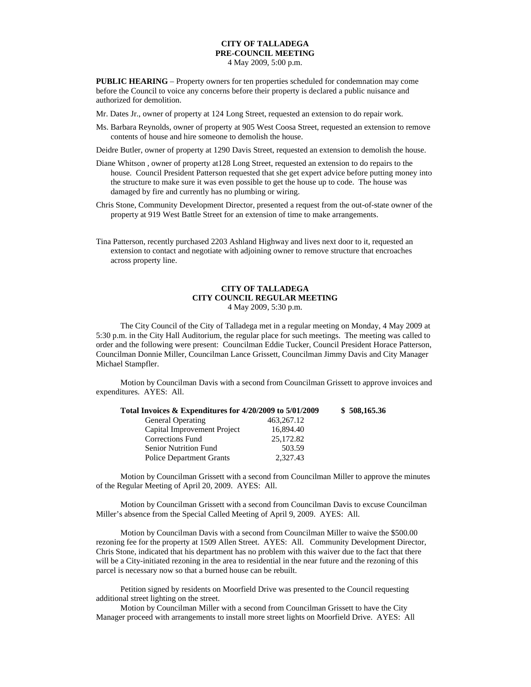## **CITY OF TALLADEGA PRE-COUNCIL MEETING** 4 May 2009, 5:00 p.m.

**PUBLIC HEARING** – Property owners for ten properties scheduled for condemnation may come before the Council to voice any concerns before their property is declared a public nuisance and authorized for demolition.

- Mr. Dates Jr., owner of property at 124 Long Street, requested an extension to do repair work.
- Ms. Barbara Reynolds, owner of property at 905 West Coosa Street, requested an extension to remove contents of house and hire someone to demolish the house.
- Deidre Butler, owner of property at 1290 Davis Street, requested an extension to demolish the house.
- Diane Whitson , owner of property at128 Long Street, requested an extension to do repairs to the house. Council President Patterson requested that she get expert advice before putting money into the structure to make sure it was even possible to get the house up to code. The house was damaged by fire and currently has no plumbing or wiring.
- Chris Stone, Community Development Director, presented a request from the out-of-state owner of the property at 919 West Battle Street for an extension of time to make arrangements.
- Tina Patterson, recently purchased 2203 Ashland Highway and lives next door to it, requested an extension to contact and negotiate with adjoining owner to remove structure that encroaches across property line.

## **CITY OF TALLADEGA CITY COUNCIL REGULAR MEETING** 4 May 2009, 5:30 p.m.

The City Council of the City of Talladega met in a regular meeting on Monday, 4 May 2009 at 5:30 p.m. in the City Hall Auditorium, the regular place for such meetings. The meeting was called to order and the following were present: Councilman Eddie Tucker, Council President Horace Patterson, Councilman Donnie Miller, Councilman Lance Grissett, Councilman Jimmy Davis and City Manager Michael Stampfler.

Motion by Councilman Davis with a second from Councilman Grissett to approve invoices and expenditures. AYES: All.

| Total Invoices & Expenditures for 4/20/2009 to 5/01/2009 |              | \$508,165.36 |
|----------------------------------------------------------|--------------|--------------|
| <b>General Operating</b>                                 | 463, 267. 12 |              |
| Capital Improvement Project                              | 16.894.40    |              |
| Corrections Fund                                         | 25,172.82    |              |
| <b>Senior Nutrition Fund</b>                             | 503.59       |              |
| <b>Police Department Grants</b>                          | 2,327.43     |              |

Motion by Councilman Grissett with a second from Councilman Miller to approve the minutes of the Regular Meeting of April 20, 2009. AYES: All.

Motion by Councilman Grissett with a second from Councilman Davis to excuse Councilman Miller's absence from the Special Called Meeting of April 9, 2009. AYES: All.

Motion by Councilman Davis with a second from Councilman Miller to waive the \$500.00 rezoning fee for the property at 1509 Allen Street. AYES: All. Community Development Director, Chris Stone, indicated that his department has no problem with this waiver due to the fact that there will be a City-initiated rezoning in the area to residential in the near future and the rezoning of this parcel is necessary now so that a burned house can be rebuilt.

Petition signed by residents on Moorfield Drive was presented to the Council requesting additional street lighting on the street.

Motion by Councilman Miller with a second from Councilman Grissett to have the City Manager proceed with arrangements to install more street lights on Moorfield Drive. AYES: All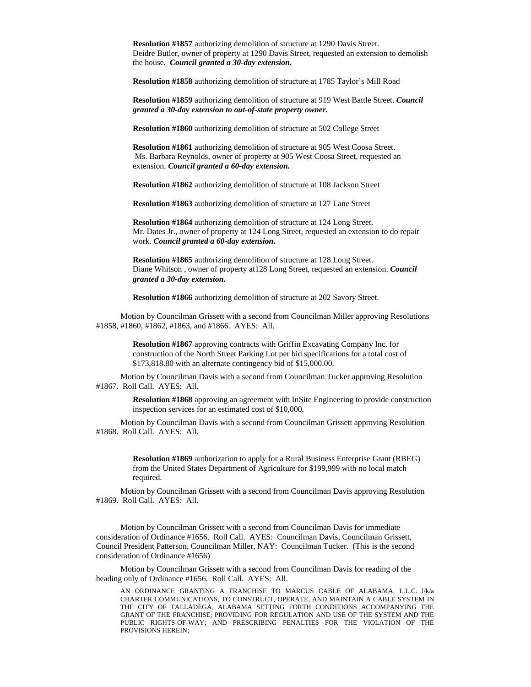**Resolution #1857** authorizing demolition of structure at 1290 Davis Street. Deidre Butler, owner of property at 1290 Davis Street, requested an extension to demolish the house. *Council granted a 30-day extension.*

**Resolution #1858** authorizing demolition of structure at 1785 Taylor's Mill Road

**Resolution #1859** authorizing demolition of structure at 919 West Battle Street. *Council granted a 30-day extension to out-of-state property owner.*

**Resolution #1860** authorizing demolition of structure at 502 College Street

**Resolution #1861** authorizing demolition of structure at 905 West Coosa Street. Ms. Barbara Reynolds, owner of property at 905 West Coosa Street, requested an extension. *Council granted a 60-day extension.*

**Resolution #1862** authorizing demolition of structure at 108 Jackson Street

**Resolution #1863** authorizing demolition of structure at 127 Lane Street

**Resolution #1864** authorizing demolition of structure at 124 Long Street. Mr. Dates Jr., owner of property at 124 Long Street, requested an extension to do repair work. *Council granted a 60-day extension.*

**Resolution #1865** authorizing demolition of structure at 128 Long Street. Diane Whitson , owner of property at128 Long Street, requested an extension. *Council granted a 30-day extension.*

**Resolution #1866** authorizing demolition of structure at 202 Savory Street.

Motion by Councilman Grissett with a second from Councilman Miller approving Resolutions #1858, #1860, #1862, #1863, and #1866. AYES: All.

> **Resolution #1867** approving contracts with Griffin Excavating Company Inc. for construction of the North Street Parking Lot per bid specifications for a total cost of \$173,818.80 with an alternate contingency bid of \$15,000.00.

Motion by Councilman Davis with a second from Councilman Tucker approving Resolution #1867. Roll Call. AYES: All.

> **Resolution #1868** approving an agreement with InSite Engineering to provide construction inspection services for an estimated cost of \$10,000.

Motion by Councilman Davis with a second from Councilman Grissett approving Resolution #1868. Roll Call. AYES: All.

> **Resolution #1869** authorization to apply for a Rural Business Enterprise Grant (RBEG) from the United States Department of Agriculture for \$199,999 with no local match required.

Motion by Councilman Grissett with a second from Councilman Davis approving Resolution #1869. Roll Call. AYES: All.

Motion by Councilman Grissett with a second from Councilman Davis for immediate consideration of Ordinance #1656. Roll Call. AYES: Councilman Davis, Councilman Grissett, Council President Patterson, Councilman Miller, NAY: Councilman Tucker. (This is the second consideration of Ordinance #1656)

Motion by Councilman Grissett with a second from Councilman Davis for reading of the heading only of Ordinance #1656. Roll Call. AYES: All.

AN ORDINANCE GRANTING A FRANCHISE TO MARCUS CABLE OF ALABAMA, L.L.C. l/k/a CHARTER COMMUNICATIONS, TO CONSTRUCT, OPERATE, AND MAINTAIN A CABLE SYSTEM IN THE CITY OF TALLADEGA, ALABAMA SETTING FORTH CONDITIONS ACCOMPANYING THE GRANT OF THE FRANCHISE; PROVIDING FOR REGULATION AND USE OF THE SYSTEM AND THE PUBLIC RIGHTS-OF-WAY; AND PRESCRIBING PENALTIES FOR THE VIOLATION OF THE PROVISIONS HEREIN;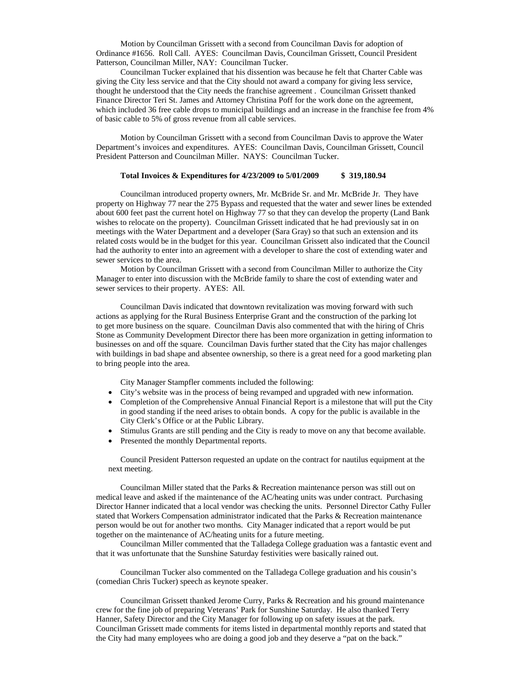Motion by Councilman Grissett with a second from Councilman Davis for adoption of Ordinance #1656. Roll Call. AYES: Councilman Davis, Councilman Grissett, Council President Patterson, Councilman Miller, NAY: Councilman Tucker.

Councilman Tucker explained that his dissention was because he felt that Charter Cable was giving the City less service and that the City should not award a company for giving less service, thought he understood that the City needs the franchise agreement . Councilman Grissett thanked Finance Director Teri St. James and Attorney Christina Poff for the work done on the agreement, which included 36 free cable drops to municipal buildings and an increase in the franchise fee from 4% of basic cable to 5% of gross revenue from all cable services.

Motion by Councilman Grissett with a second from Councilman Davis to approve the Water Department's invoices and expenditures. AYES: Councilman Davis, Councilman Grissett, Council President Patterson and Councilman Miller. NAYS: Councilman Tucker.

## **Total Invoices & Expenditures for 4/23/2009 to 5/01/2009 \$ 319,180.94**

Councilman introduced property owners, Mr. McBride Sr. and Mr. McBride Jr. They have property on Highway 77 near the 275 Bypass and requested that the water and sewer lines be extended about 600 feet past the current hotel on Highway 77 so that they can develop the property (Land Bank wishes to relocate on the property). Councilman Grissett indicated that he had previously sat in on meetings with the Water Department and a developer (Sara Gray) so that such an extension and its related costs would be in the budget for this year. Councilman Grissett also indicated that the Council had the authority to enter into an agreement with a developer to share the cost of extending water and sewer services to the area.

Motion by Councilman Grissett with a second from Councilman Miller to authorize the City Manager to enter into discussion with the McBride family to share the cost of extending water and sewer services to their property. AYES: All.

Councilman Davis indicated that downtown revitalization was moving forward with such actions as applying for the Rural Business Enterprise Grant and the construction of the parking lot to get more business on the square. Councilman Davis also commented that with the hiring of Chris Stone as Community Development Director there has been more organization in getting information to businesses on and off the square. Councilman Davis further stated that the City has major challenges with buildings in bad shape and absentee ownership, so there is a great need for a good marketing plan to bring people into the area.

City Manager Stampfler comments included the following:

- City's website was in the process of being revamped and upgraded with new information.
- Completion of the Comprehensive Annual Financial Report is a milestone that will put the City in good standing if the need arises to obtain bonds. A copy for the public is available in the City Clerk's Office or at the Public Library.
- Stimulus Grants are still pending and the City is ready to move on any that become available.
- Presented the monthly Departmental reports.

Council President Patterson requested an update on the contract for nautilus equipment at the next meeting.

Councilman Miller stated that the Parks & Recreation maintenance person was still out on medical leave and asked if the maintenance of the AC/heating units was under contract. Purchasing Director Hanner indicated that a local vendor was checking the units. Personnel Director Cathy Fuller stated that Workers Compensation administrator indicated that the Parks & Recreation maintenance person would be out for another two months. City Manager indicated that a report would be put together on the maintenance of AC/heating units for a future meeting.

Councilman Miller commented that the Talladega College graduation was a fantastic event and that it was unfortunate that the Sunshine Saturday festivities were basically rained out.

Councilman Tucker also commented on the Talladega College graduation and his cousin's (comedian Chris Tucker) speech as keynote speaker.

Councilman Grissett thanked Jerome Curry, Parks & Recreation and his ground maintenance crew for the fine job of preparing Veterans' Park for Sunshine Saturday. He also thanked Terry Hanner, Safety Director and the City Manager for following up on safety issues at the park. Councilman Grissett made comments for items listed in departmental monthly reports and stated that the City had many employees who are doing a good job and they deserve a "pat on the back."